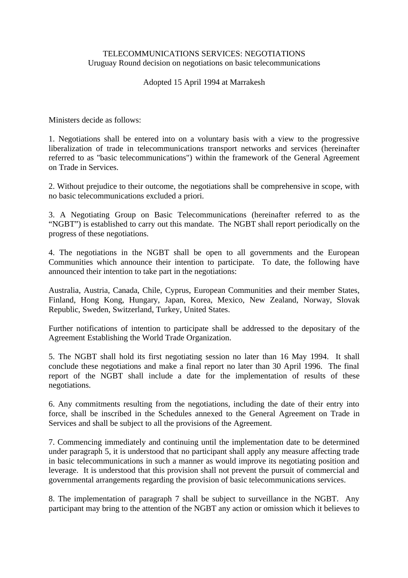## TELECOMMUNICATIONS SERVICES: NEGOTIATIONS Uruguay Round decision on negotiations on basic telecommunications

## Adopted 15 April 1994 at Marrakesh

Ministers decide as follows:

1. Negotiations shall be entered into on a voluntary basis with a view to the progressive liberalization of trade in telecommunications transport networks and services (hereinafter referred to as "basic telecommunications") within the framework of the General Agreement on Trade in Services.

2. Without prejudice to their outcome, the negotiations shall be comprehensive in scope, with no basic telecommunications excluded a priori.

3. A Negotiating Group on Basic Telecommunications (hereinafter referred to as the "NGBT") is established to carry out this mandate. The NGBT shall report periodically on the progress of these negotiations.

4. The negotiations in the NGBT shall be open to all governments and the European Communities which announce their intention to participate. To date, the following have announced their intention to take part in the negotiations:

Australia, Austria, Canada, Chile, Cyprus, European Communities and their member States, Finland, Hong Kong, Hungary, Japan, Korea, Mexico, New Zealand, Norway, Slovak Republic, Sweden, Switzerland, Turkey, United States.

Further notifications of intention to participate shall be addressed to the depositary of the Agreement Establishing the World Trade Organization.

5. The NGBT shall hold its first negotiating session no later than 16 May 1994. It shall conclude these negotiations and make a final report no later than 30 April 1996. The final report of the NGBT shall include a date for the implementation of results of these negotiations.

6. Any commitments resulting from the negotiations, including the date of their entry into force, shall be inscribed in the Schedules annexed to the General Agreement on Trade in Services and shall be subject to all the provisions of the Agreement.

7. Commencing immediately and continuing until the implementation date to be determined under paragraph 5, it is understood that no participant shall apply any measure affecting trade in basic telecommunications in such a manner as would improve its negotiating position and leverage. It is understood that this provision shall not prevent the pursuit of commercial and governmental arrangements regarding the provision of basic telecommunications services.

8. The implementation of paragraph 7 shall be subject to surveillance in the NGBT. Any participant may bring to the attention of the NGBT any action or omission which it believes to